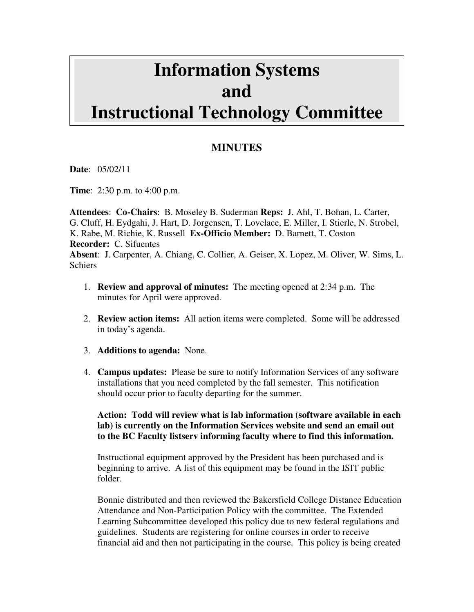# **Information Systems and Instructional Technology Committee**

## **MINUTES**

**Date**: 05/02/11

**Time**: 2:30 p.m. to 4:00 p.m.

**Attendees**: **Co-Chairs**: B. Moseley B. Suderman **Reps:** J. Ahl, T. Bohan, L. Carter, G. Cluff, H. Eydgahi, J. Hart, D. Jorgensen, T. Lovelace, E. Miller, I. Stierle, N. Strobel, K. Rabe, M. Richie, K. Russell **Ex-Officio Member:** D. Barnett, T. Coston **Recorder:** C. Sifuentes **Absent**: J. Carpenter, A. Chiang, C. Collier, A. Geiser, X. Lopez, M. Oliver, W. Sims, L. **Schiers** 

- 1. **Review and approval of minutes:** The meeting opened at 2:34 p.m. The minutes for April were approved.
- 2. **Review action items:** All action items were completed. Some will be addressed in today's agenda.
- 3. **Additions to agenda:** None.
- 4. **Campus updates:** Please be sure to notify Information Services of any software installations that you need completed by the fall semester. This notification should occur prior to faculty departing for the summer.

**Action: Todd will review what is lab information (software available in each lab) is currently on the Information Services website and send an email out to the BC Faculty listserv informing faculty where to find this information.** 

Instructional equipment approved by the President has been purchased and is beginning to arrive. A list of this equipment may be found in the ISIT public folder.

Bonnie distributed and then reviewed the Bakersfield College Distance Education Attendance and Non-Participation Policy with the committee. The Extended Learning Subcommittee developed this policy due to new federal regulations and guidelines. Students are registering for online courses in order to receive financial aid and then not participating in the course. This policy is being created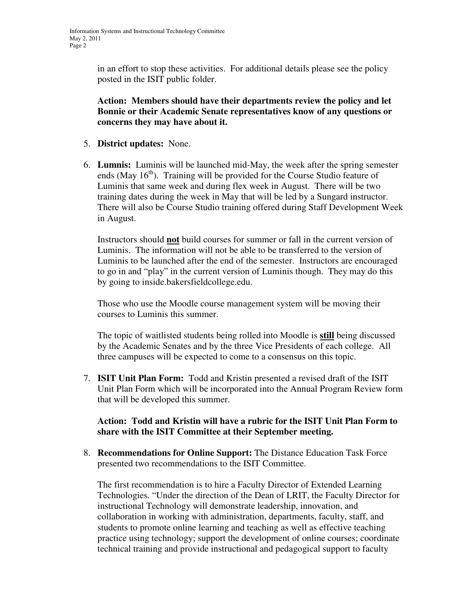in an effort to stop these activities. For additional details please see the policy posted in the ISIT public folder.

**Action: Members should have their departments review the policy and let Bonnie or their Academic Senate representatives know of any questions or concerns they may have about it.** 

- 5. **District updates:** None.
- 6. **Lumnis:** Luminis will be launched mid-May, the week after the spring semester ends (May  $16<sup>th</sup>$ ). Training will be provided for the Course Studio feature of Luminis that same week and during flex week in August. There will be two training dates during the week in May that will be led by a Sungard instructor. There will also be Course Studio training offered during Staff Development Week in August.

Instructors should **not** build courses for summer or fall in the current version of Luminis. The information will not be able to be transferred to the version of Luminis to be launched after the end of the semester. Instructors are encouraged to go in and "play" in the current version of Luminis though. They may do this by going to inside.bakersfieldcollege.edu.

Those who use the Moodle course management system will be moving their courses to Luminis this summer.

The topic of waitlisted students being rolled into Moodle is **still** being discussed by the Academic Senates and by the three Vice Presidents of each college. All three campuses will be expected to come to a consensus on this topic.

7. **ISIT Unit Plan Form:** Todd and Kristin presented a revised draft of the ISIT Unit Plan Form which will be incorporated into the Annual Program Review form that will be developed this summer.

#### **Action: Todd and Kristin will have a rubric for the ISIT Unit Plan Form to share with the ISIT Committee at their September meeting.**

8. **Recommendations for Online Support:** The Distance Education Task Force presented two recommendations to the ISIT Committee.

The first recommendation is to hire a Faculty Director of Extended Learning Technologies. "Under the direction of the Dean of LRIT, the Faculty Director for instructional Technology will demonstrate leadership, innovation, and collaboration in working with administration, departments, faculty, staff, and students to promote online learning and teaching as well as effective teaching practice using technology; support the development of online courses; coordinate technical training and provide instructional and pedagogical support to faculty